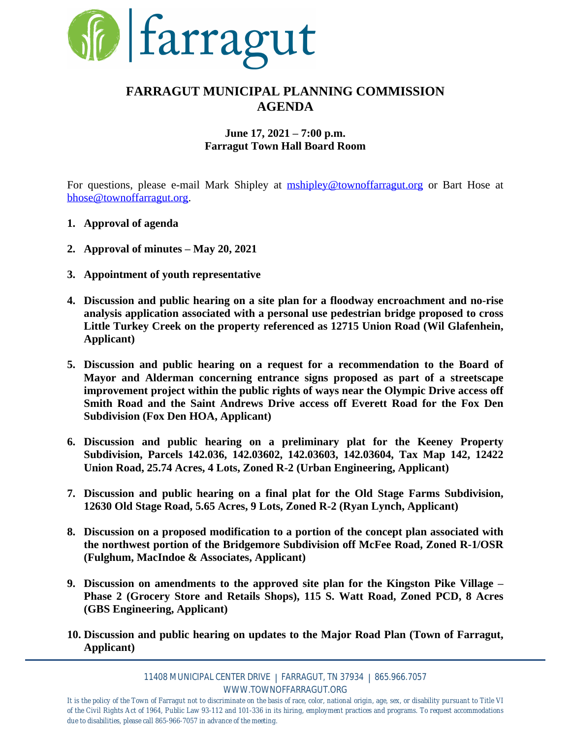

## **FARRAGUT MUNICIPAL PLANNING COMMISSION AGENDA**

### **June 17, 2021 – 7:00 p.m. Farragut Town Hall Board Room**

For questions, please e-mail Mark Shipley at **[mshipley@townoffarragut.org](mailto:mshipley@townoffarragut.org)** or Bart Hose at [bhose@townoffarragut.org](mailto:bhose@townoffarragut.org).

- **1. Approval of agenda**
- **2. Approval of minutes – May 20, 2021**
- **3. Appointment of youth representative**
- **4. Discussion and public hearing on a site plan for a floodway encroachment and no-rise analysis application associated with a personal use pedestrian bridge proposed to cross Little Turkey Creek on the property referenced as 12715 Union Road (Wil Glafenhein, Applicant)**
- **5. Discussion and public hearing on a request for a recommendation to the Board of Mayor and Alderman concerning entrance signs proposed as part of a streetscape improvement project within the public rights of ways near the Olympic Drive access off Smith Road and the Saint Andrews Drive access off Everett Road for the Fox Den Subdivision (Fox Den HOA, Applicant)**
- **6. Discussion and public hearing on a preliminary plat for the Keeney Property Subdivision, Parcels 142.036, 142.03602, 142.03603, 142.03604, Tax Map 142, 12422 Union Road, 25.74 Acres, 4 Lots, Zoned R-2 (Urban Engineering, Applicant)**
- **7. Discussion and public hearing on a final plat for the Old Stage Farms Subdivision, 12630 Old Stage Road, 5.65 Acres, 9 Lots, Zoned R-2 (Ryan Lynch, Applicant)**
- **8. Discussion on a proposed modification to a portion of the concept plan associated with the northwest portion of the Bridgemore Subdivision off McFee Road, Zoned R-1/OSR (Fulghum, MacIndoe & Associates, Applicant)**
- **9. Discussion on amendments to the approved site plan for the Kingston Pike Village – Phase 2 (Grocery Store and Retails Shops), 115 S. Watt Road, Zoned PCD, 8 Acres (GBS Engineering, Applicant)**
- **10. Discussion and public hearing on updates to the Major Road Plan (Town of Farragut, Applicant)**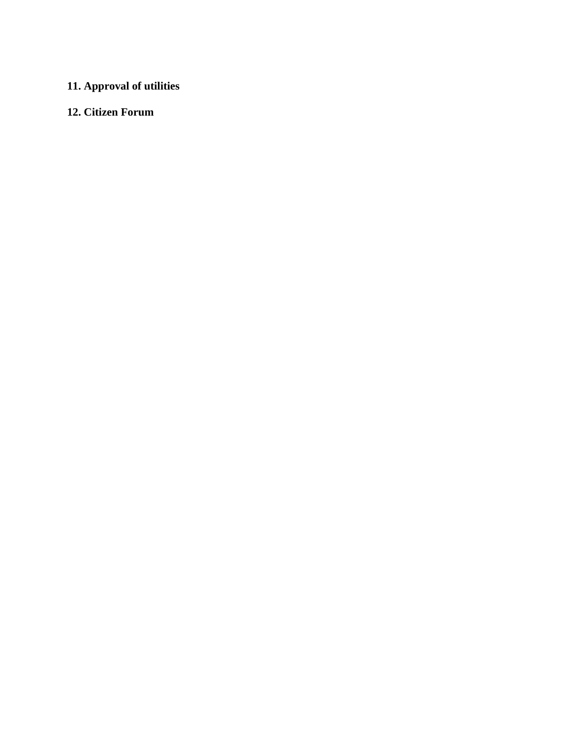# **11. Approval of utilities**

### **12. Citizen Forum**